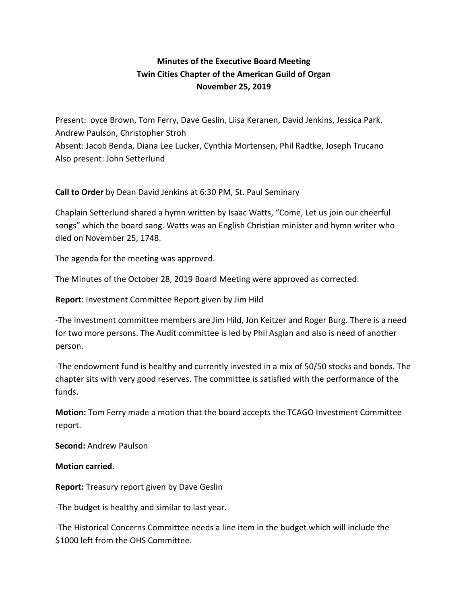## **Minutes of the Executive Board Meeting Twin Cities Chapter of the American Guild of Organ November 25, 2019**

Present: oyce Brown, Tom Ferry, Dave Geslin, Liisa Keranen, David Jenkins, Jessica Park. Andrew Paulson, Christopher Stroh Absent: Jacob Benda, Diana Lee Lucker, Cynthia Mortensen, Phil Radtke, Joseph Trucano Also present: John Setterlund

**Call to Order** by Dean David Jenkins at 6:30 PM, St. Paul Seminary

Chaplain Setterlund shared a hymn written by Isaac Watts, "Come, Let us join our cheerful songs" which the board sang. Watts was an English Christian minister and hymn writer who died on November 25, 1748.

The agenda for the meeting was approved.

The Minutes of the October 28, 2019 Board Meeting were approved as corrected.

**Report**: Investment Committee Report given by Jim Hild

-The investment committee members are Jim Hild, Jon Keitzer and Roger Burg. There is a need for two more persons. The Audit committee is led by Phil Asgian and also is need of another person.

-The endowment fund is healthy and currently invested in a mix of 50/50 stocks and bonds. The chapter sits with very good reserves. The committee is satisfied with the performance of the funds.

**Motion:** Tom Ferry made a motion that the board accepts the TCAGO Investment Committee report.

**Second:** Andrew Paulson

**Motion carried.**

**Report:** Treasury report given by Dave Geslin

-The budget is healthy and similar to last year.

-The Historical Concerns Committee needs a line item in the budget which will include the \$1000 left from the OHS Committee.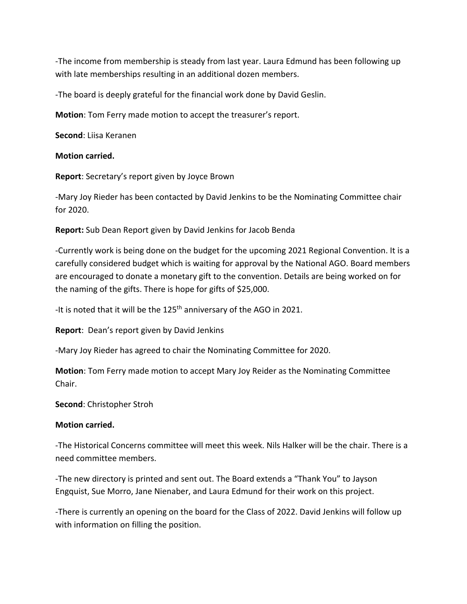-The income from membership is steady from last year. Laura Edmund has been following up with late memberships resulting in an additional dozen members.

-The board is deeply grateful for the financial work done by David Geslin.

**Motion**: Tom Ferry made motion to accept the treasurer's report.

**Second**: Liisa Keranen

## **Motion carried.**

**Report**: Secretary's report given by Joyce Brown

-Mary Joy Rieder has been contacted by David Jenkins to be the Nominating Committee chair for 2020.

**Report:** Sub Dean Report given by David Jenkins for Jacob Benda

-Currently work is being done on the budget for the upcoming 2021 Regional Convention. It is a carefully considered budget which is waiting for approval by the National AGO. Board members are encouraged to donate a monetary gift to the convention. Details are being worked on for the naming of the gifts. There is hope for gifts of \$25,000.

-It is noted that it will be the 125<sup>th</sup> anniversary of the AGO in 2021.

**Report**: Dean's report given by David Jenkins

-Mary Joy Rieder has agreed to chair the Nominating Committee for 2020.

**Motion**: Tom Ferry made motion to accept Mary Joy Reider as the Nominating Committee Chair.

**Second**: Christopher Stroh

## **Motion carried.**

-The Historical Concerns committee will meet this week. Nils Halker will be the chair. There is a need committee members.

-The new directory is printed and sent out. The Board extends a "Thank You" to Jayson Engquist, Sue Morro, Jane Nienaber, and Laura Edmund for their work on this project.

-There is currently an opening on the board for the Class of 2022. David Jenkins will follow up with information on filling the position.